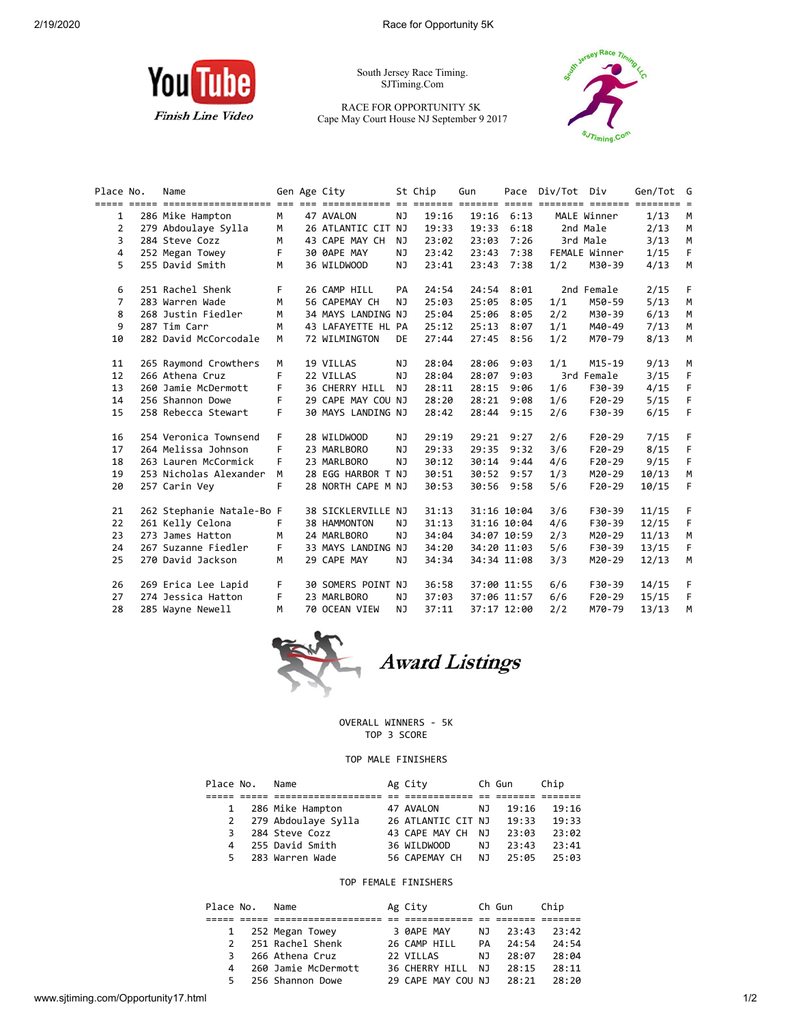

South Jersey Race Timing. SJTiming.Com

RACE FOR OPPORTUNITY 5K Cape May Court House NJ September 9 2017



| Place No. | Name                      | Gen Age City<br>St Chip<br>Gun |  |                    |           | Pace Div/Tot Div |       | Gen/Tot G      |     |               |       |    |
|-----------|---------------------------|--------------------------------|--|--------------------|-----------|------------------|-------|----------------|-----|---------------|-------|----|
|           |                           |                                |  |                    |           |                  |       |                |     |               |       |    |
| 1         | 286 Mike Hampton          | M                              |  | 47 AVALON          | NJ.       | 19:16            |       | $19:16$ $6:13$ |     | MALE Winner   | 1/13  | M  |
| 2         | 279 Abdoulaye Sylla       | M                              |  | 26 ATLANTIC CIT NJ |           | 19:33            |       | $19:33$ $6:18$ |     | 2nd Male      | 2/13  | M  |
| 3         | 284 Steve Cozz            | M                              |  | 43 CAPE MAY CH     | <b>NJ</b> | 23:02            | 23:03 | 7:26           |     | 3rd Male      | 3/13  | M  |
| 4         | 252 Megan Towey           | F.                             |  | 30 0APE MAY        | NJ        | 23:42            | 23:43 | 7:38           |     | FEMALE Winner | 1/15  | F  |
| 5         | 255 David Smith           | M                              |  | 36 WILDWOOD        | <b>NJ</b> | 23:41            | 23:43 | 7:38           | 1/2 | M30-39        | 4/13  | M  |
| 6         | 251 Rachel Shenk          | F.                             |  | 26 CAMP HILL       | PA        | 24:54            |       | 24:54 8:01     |     | 2nd Female    | 2/15  | F  |
| 7         | 283 Warren Wade           | M                              |  | 56 CAPEMAY CH      | NJ.       | 25:03            | 25:05 | 8:05           | 1/1 | M50-59        | 5/13  | M  |
| 8         | 268 Justin Fiedler        | M                              |  | 34 MAYS LANDING NJ |           | 25:04            | 25:06 | 8:05           | 2/2 | M30-39        | 6/13  | M  |
| 9         | 287 Tim Carr              | M                              |  | 43 LAFAYETTE HL PA |           | 25:12            | 25:13 | 8:07           | 1/1 | M40-49        | 7/13  | M  |
| 10        | 282 David McCorcodale     | M                              |  | 72 WILMINGTON      | DE        | 27:44            | 27:45 | 8:56           | 1/2 | M70-79        | 8/13  | M  |
| 11        | 265 Raymond Crowthers     | M                              |  | 19 VILLAS          | NJ        | 28:04            | 28:06 | 9:03           | 1/1 | $M15 - 19$    | 9/13  | M  |
| 12        | 266 Athena Cruz           | F                              |  | 22 VILLAS          | NJ        | 28:04            | 28:07 | 9:03           |     | 3rd Female    | 3/15  | F  |
| 13        | 260 Jamie McDermott       | F.                             |  | 36 CHERRY HILL     | <b>NJ</b> | 28:11            | 28:15 | 9:06           | 1/6 | F30-39        | 4/15  | F  |
| 14        | 256 Shannon Dowe          | F.                             |  | 29 CAPE MAY COU NJ |           | 28:20            | 28:21 | 9:08           | 1/6 | $F20-29$      | 5/15  | F  |
| 15        | 258 Rebecca Stewart       | F.                             |  | 30 MAYS LANDING NJ |           | 28:42            |       | 28:44 9:15     | 2/6 | F30-39        | 6/15  | F  |
| 16        | 254 Veronica Townsend     | F.                             |  | 28 WILDWOOD        | NJ        | 29:19            |       | 29:21 9:27     | 2/6 | $F20-29$      | 7/15  | F  |
| 17        | 264 Melissa Johnson       | F                              |  | 23 MARLBORO        | NJ        | 29:33            | 29:35 | 9:32           | 3/6 | $F20-29$      | 8/15  | F  |
| 18        | 263 Lauren McCormick      | F.                             |  | 23 MARLBORO        | <b>NJ</b> | 30:12            | 30:14 | 9:44           | 4/6 | $F20-29$      | 9/15  | F  |
| 19        | 253 Nicholas Alexander    | M                              |  | 28 EGG HARBOR T NJ |           | 30:51            |       | 30:52 9:57     | 1/3 | M20-29        | 10/13 | M  |
| 20        | 257 Carin Vey             | F                              |  | 28 NORTH CAPE M NJ |           | 30:53            | 30:56 | 9:58           | 5/6 | $F20-29$      | 10/15 | F  |
| 21        | 262 Stephanie Natale-Bo F |                                |  | 38 SICKLERVILLE NJ |           | 31:13            |       | 31:16 10:04    | 3/6 | F30-39        | 11/15 | F. |
| 22        | 261 Kelly Celona          | F.                             |  | 38 HAMMONTON       | NJ        | 31:13            |       | 31:16 10:04    | 4/6 | F30-39        | 12/15 | E  |
| 23        | 273 James Hatton          | M                              |  | 24 MARLBORO        | NJ        | 34:04            |       | 34:07 10:59    | 2/3 | M20-29        | 11/13 | M  |
| 24        | 267 Suzanne Fiedler       | F.                             |  | 33 MAYS LANDING NJ |           | 34:20            |       | 34:20 11:03    | 5/6 | F30-39        | 13/15 | F. |
| 25        | 270 David Jackson         | M                              |  | 29 CAPE MAY        | NJ        | 34:34            |       | 34:34 11:08    | 3/3 | M20-29        | 12/13 | M  |
| 26        | 269 Erica Lee Lapid       | F.                             |  | 30 SOMERS POINT NJ |           | 36:58            |       | 37:00 11:55    | 6/6 | F30-39        | 14/15 | F  |
| 27        | 274 Jessica Hatton        | F.                             |  | 23 MARLBORO        | ΝJ        | 37:03            |       | 37:06 11:57    | 6/6 | $F20-29$      | 15/15 | F  |
| 28        | 285 Wayne Newell          | M                              |  | 70 OCEAN VIEW      | NJ        | 37:11            |       | 37:17 12:00    | 2/2 | M70-79        | 13/13 | M  |



## OVERALL WINNERS - 5K TOP 3 SCORE

## TOP MALE FINISHERS

| Place No.    |   | Name                  | Ag City            |     | Ch Gun | Chip  |
|--------------|---|-----------------------|--------------------|-----|--------|-------|
|              |   |                       |                    |     |        |       |
| $\mathbf{1}$ |   | 286 Mike Hampton      | 47 AVALON          | NJ. | 19:16  | 19:16 |
|              |   | 2 279 Abdoulaye Sylla | 26 ATLANTIC CIT NJ |     | 19:33  | 19:33 |
|              | 3 | 284 Steve Cozz        | 43 CAPE MAY CH     | N J | 23:03  | 23:02 |
|              | 4 | 255 David Smith       | 36 WILDWOOD        | NJ. | 23:43  | 23:41 |
|              |   | 5 283 Warren Wade     | 56 CAPEMAY CH NJ   |     | 25:05  | 25:03 |

## TOP FEMALE FINISHERS

|               | Place No. | Name                | Ag City            |           | Ch Gun | Chip  |  |
|---------------|-----------|---------------------|--------------------|-----------|--------|-------|--|
|               |           |                     |                    |           |        |       |  |
|               |           | 1 252 Megan Towey   | 3 ØAPE MAY         | N J       | 23:43  | 23:42 |  |
| $\mathcal{P}$ |           | 251 Rachel Shenk    | 26 CAMP HILL       | <b>PA</b> | 24:54  | 24:54 |  |
| 3             |           | 266 Athena Cruz     | 22 VILLAS          | N J       | 28:07  | 28:04 |  |
| 4             |           | 260 Jamie McDermott | 36 CHERRY HILL     | N J       | 28:15  | 28:11 |  |
|               |           | 5 256 Shannon Dowe  | 29 CAPE MAY COU NJ |           | 28:21  | 28:20 |  |